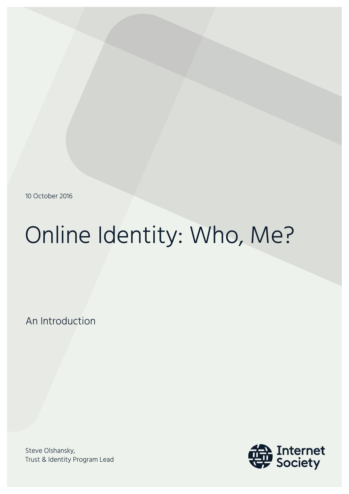10 October 2016

# Online Identity: Who, Me?

An Introduction

Steve Olshansky, Trust & Identity Program Lead

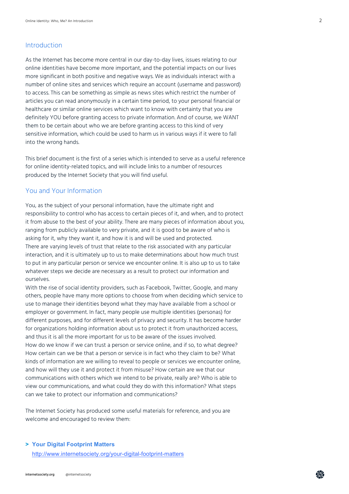### Introduction

As the Internet has become more central in our day-to-day lives, issues relating to our online identities have become more important, and the potential impacts on our lives more significant in both positive and negative ways. We as individuals interact with a number of online sites and services which require an account (username and password) to access. This can be something as simple as news sites which restrict the number of articles you can read anonymously in a certain time period, to your personal financial or healthcare or similar online services which want to know with certainty that you are definitely YOU before granting access to private information. And of course, we WANT them to be certain about who we are before granting access to this kind of very sensitive information, which could be used to harm us in various ways if it were to fall into the wrong hands.

This brief document is the first of a series which is intended to serve as a useful reference for online identity-related topics, and will include links to a number of resources produced by the Internet Society that you will find useful.

## You and Your Information

You, as the subject of your personal information, have the ultimate right and responsibility to control who has access to certain pieces of it, and when, and to protect it from abuse to the best of your ability. There are many pieces of information about you, ranging from publicly available to very private, and it is good to be aware of who is asking for it, why they want it, and how it is and will be used and protected. There are varying levels of trust that relate to the risk associated with any particular interaction, and it is ultimately up to us to make determinations about how much trust to put in any particular person or service we encounter online. It is also up to us to take whatever steps we decide are necessary as a result to protect our information and ourselves.

With the rise of social identity providers, such as Facebook, Twitter, Google, and many others, people have many more options to choose from when deciding which service to use to manage their identities beyond what they may have available from a school or employer or government. In fact, many people use multiple identities (personas) for different purposes, and for different levels of privacy and security. It has become harder for organizations holding information about us to protect it from unauthorized access, and thus it is all the more important for us to be aware of the issues involved. How do we know if we can trust a person or service online, and if so, to what degree? How certain can we be that a person or service is in fact who they claim to be? What kinds of information are we willing to reveal to people or services we encounter online, and how will they use it and protect it from misuse? How certain are we that our communications with others which we intend to be private, really are? Who is able to view our communications, and what could they do with this information? What steps can we take to protect our information and communications?

The Internet Society has produced some useful materials for reference, and you are welcome and encouraged to review them:

#### **> Your Digital Footprint Matters**

http://www.internetsociety.org/your-digital-footprint-matters

孟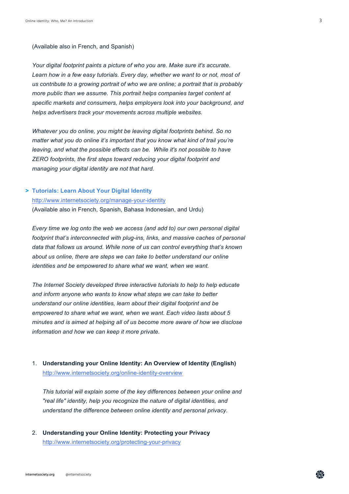(Available also in French, and Spanish)

*Your digital footprint paints a picture of who you are. Make sure it's accurate. Learn how in a few easy tutorials. Every day, whether we want to or not, most of us contribute to a growing portrait of who we are online; a portrait that is probably more public than we assume. This portrait helps companies target content at specific markets and consumers, helps employers look into your background, and helps advertisers track your movements across multiple websites.*

*Whatever you do online, you might be leaving digital footprints behind. So no matter what you do online it's important that you know what kind of trail you're leaving, and what the possible effects can be. While it's not possible to have ZERO footprints, the first steps toward reducing your digital footprint and managing your digital identity are not that hard.*

# **> Tutorials: Learn About Your Digital Identity**  http://www.internetsociety.org/manage-your-identity (Available also in French, Spanish, Bahasa Indonesian, and Urdu)

*Every time we log onto the web we access (and add to) our own personal digital footprint that's interconnected with plug-ins, links, and massive caches of personal data that follows us around. While none of us can control everything that's known about us online, there are steps we can take to better understand our online identities and be empowered to share what we want, when we want.*

*The Internet Society developed three interactive tutorials to help to help educate and inform anyone who wants to know what steps we can take to better understand our online identities, learn about their digital footprint and be empowered to share what we want, when we want. Each video lasts about 5 minutes and is aimed at helping all of us become more aware of how we disclose information and how we can keep it more private.* 

1. **Understanding your Online Identity: An Overview of Identity (English)** http://www.internetsociety.org/online-identity-overview

*This tutorial will explain some of the key differences between your online and "real life" identity, help you recognize the nature of digital identities, and understand the difference between online identity and personal privacy.* 

2. **Understanding your Online Identity: Protecting your Privacy** http://www.internetsociety.org/protecting-your-privacy